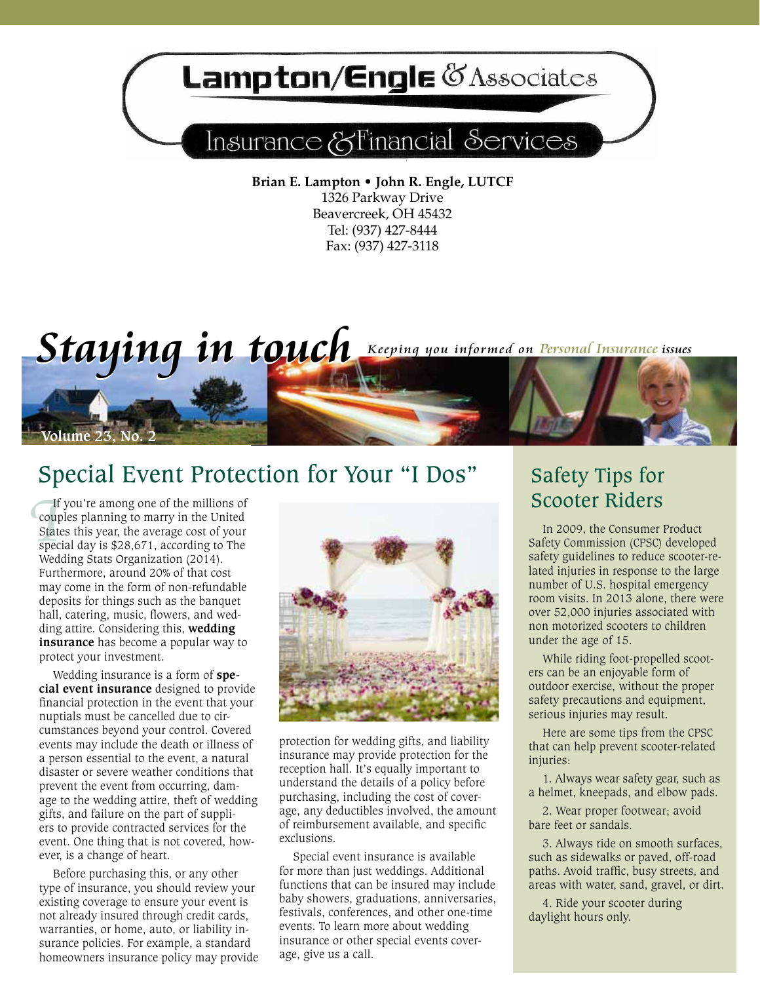# **Lampton/Engle @Associates**

# Insurance & Financial Services

**Brian E. Lampton • John R. Engle, LUTCF** 1326 Parkway Drive Beavercreek, OH 45432 Tel: (937) 427-8444 Fax: (937) 427-3118

# *Staying in touch* Keeping you informed on Personal Insurance issues

### Special Event Protection for Your "I Dos"

If<br> **I**<br>
State<br>
spec<br>
Wed If you're among one of the millions of couples planning to marry in the United States this year, the average cost of your special day is \$28,671, according to The Wedding Stats Organization (2014). Furthermore, around 20% of that cost may come in the form of non-refundable deposits for things such as the banquet hall, catering, music, flowers, and wedding attire. Considering this, **wedding insurance** has become a popular way to protect your investment.

**Volume 23, No.** 

Wedding insurance is a form of **special event insurance** designed to provide financial protection in the event that your nuptials must be cancelled due to circumstances beyond your control. Covered events may include the death or illness of a person essential to the event, a natural disaster or severe weather conditions that prevent the event from occurring, damage to the wedding attire, theft of wedding gifts, and failure on the part of suppliers to provide contracted services for the event. One thing that is not covered, however, is a change of heart.

Before purchasing this, or any other type of insurance, you should review your existing coverage to ensure your event is not already insured through credit cards, warranties, or home, auto, or liability insurance policies. For example, a standard homeowners insurance policy may provide



protection for wedding gifts, and liability insurance may provide protection for the reception hall. It's equally important to understand the details of a policy before purchasing, including the cost of coverage, any deductibles involved, the amount of reimbursement available, and specific exclusions.

Special event insurance is available for more than just weddings. Additional functions that can be insured may include baby showers, graduations, anniversaries, festivals, conferences, and other one-time events. To learn more about wedding insurance or other special events coverage, give us a call.

### Safety Tips for Scooter Riders

In 2009, the Consumer Product Safety Commission (CPSC) developed safety guidelines to reduce scooter-related injuries in response to the large number of U.S. hospital emergency room visits. In 2013 alone, there were over 52,000 injuries associated with non motorized scooters to children under the age of 15.

While riding foot-propelled scooters can be an enjoyable form of outdoor exercise, without the proper safety precautions and equipment, serious injuries may result.

Here are some tips from the CPSC that can help prevent scooter-related injuries:

1. Always wear safety gear, such as a helmet, kneepads, and elbow pads.

2. Wear proper footwear; avoid bare feet or sandals.

3. Always ride on smooth surfaces, such as sidewalks or paved, off-road paths. Avoid traffic, busy streets, and areas with water, sand, gravel, or dirt.

4. Ride your scooter during daylight hours only.